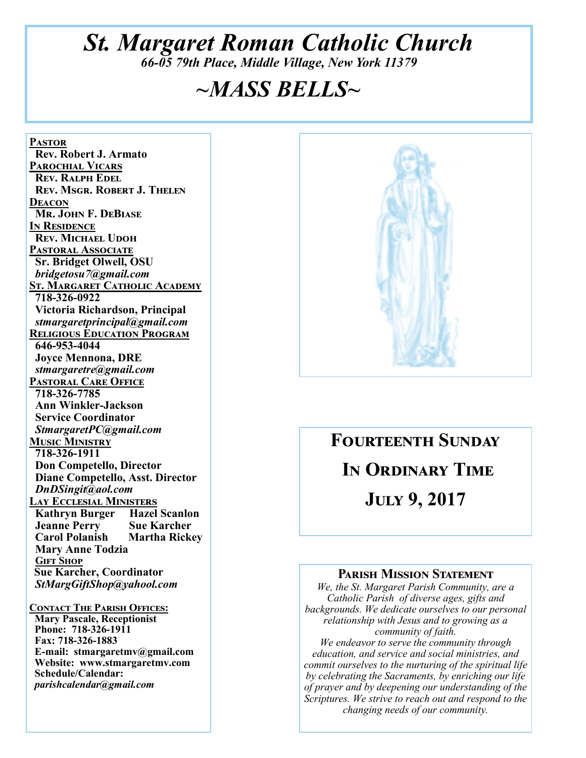## *St. Margaret Roman Catholic Church 66-05 79th Place, Middle Village, New York 11379*

# *~MASS BELLS~*

PASTOR  **Rev. Robert J. Armato PAROCHIAL VICARS REV. RALPH EDEL REV. MSGR. ROBERT J. THELEN** DEACON **Mr. John F. DeBiase IN RESIDENCE REV. MICHAEL UDOH PASTORAL ASSOCIATE Sr. Bridget Olwell, OSU**   *bridgetosu7@gmail.com*  **ST. MARGARET CATHOLIC ACADEMY 718-326-0922 Victoria Richardson, Principal**   *stmargaretprincipal@gmail.com*  **RELIGIOUS EDUCATION PROGRAM 646-953-4044 Joyce Mennona, DRE** *stmargaretre@gmail.com*  **PASTORAL CARE OFFICE 718-326-7785 Ann Winkler-Jackson Service Coordinator** *StmargaretPC@gmail.com*  **MUSIC MINISTRY 718-326-1911 Don Competello, Director Diane Competello, Asst. Director** *DnDSingit@aol.com*  <u>Lay Ecclesial Ministers</u> **Kathryn Burger Hazel Scanlon<br>
Jeanne Perry Sue Karcher Jeanne Perry Sue Karcher<br>
Carol Polanish Martha Rickey Carol Polanish Mary Anne Todzia GIFT SHOP Sue Karcher, Coordinator** *StMargGiftShop@yahool.com* 

**CONTACT THE PARISH OFFICES: Mary Pascale, Receptionist Phone: 718-326-1911 Fax: 718-326-1883 E-mail: stmargaretmv@gmail.com Website: www.stmargaretmv.com Schedule/Calendar:** *parishcalendar@gmail.com*



# **FOURTEENTH SUNDAY** IN ORDINARY TIME **JULY 9, 2017**

#### **PARISH MISSION STATEMENT**

*We, the St. Margaret Parish Community, are a Catholic Parish of diverse ages, gifts and backgrounds. We dedicate ourselves to our personal relationship with Jesus and to growing as a community of faith. We endeavor to serve the community through education, and service and social ministries, and* 

*commit ourselves to the nurturing of the spiritual life by celebrating the Sacraments, by enriching our life of prayer and by deepening our understanding of the Scriptures. We strive to reach out and respond to the changing needs of our community.*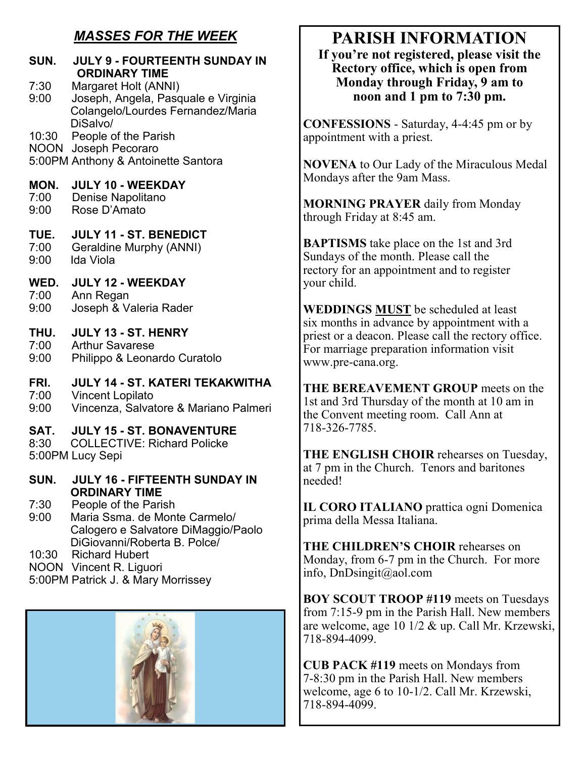### *MASSES FOR THE WEEK*

| SUN.                 | <b>JULY 9 - FOURTEENTH SUNDAY IN</b><br><b>ORDINARY TIME</b>                                                 |
|----------------------|--------------------------------------------------------------------------------------------------------------|
| 7:30<br>9:00         | Margaret Holt (ANNI)<br>Joseph, Angela, Pasquale e Virginia<br>Colangelo/Lourdes Fernandez/Maria<br>DiSalvo/ |
| 10:30<br><b>NOON</b> | People of the Parish<br>Joseph Pecoraro<br>5:00PM Anthony & Antoinette Santora                               |
| MON.                 | <b>JULY 10 - WEEKDAY</b>                                                                                     |
| 7:00                 | Denise Napolitano                                                                                            |
| 9:00                 | Rose D'Amato                                                                                                 |
| TUE.                 | <b>JULY 11 - ST. BENEDICT</b>                                                                                |
| 7:00                 | <b>Geraldine Murphy (ANNI)</b>                                                                               |
| 9:00                 | Ida Viola                                                                                                    |
| WED.                 | <b>JULY 12 - WEEKDAY</b>                                                                                     |
| 7:00                 | Ann Regan                                                                                                    |
| 9:00                 | Joseph & Valeria Rader                                                                                       |
| THU.                 | <b>JULY 13 - ST. HENRY</b>                                                                                   |
| 7:00                 | <b>Arthur Savarese</b>                                                                                       |
| 9:00                 | Philippo & Leonardo Curatolo                                                                                 |
| FRI.                 | <b>JULY 14 - ST. KATERI TEKAKWITHA</b>                                                                       |
| 7:00                 | <b>Vincent Lopilato</b>                                                                                      |
| 9:00                 | Vincenza, Salvatore & Mariano Palmeri                                                                        |
| SAT.<br>8:30         | <b>JULY 15 - ST. BONAVENTURE</b><br><b>COLLECTIVE: Richard Policke</b><br>5:00PM Lucy Sepi                   |
| SUN.                 | <b>JULY 16 - FIFTEENTH SUNDAY IN</b><br><b>ORDINARY TIME</b>                                                 |

- 7:30 People of the Parish<br>9:00 Maria Ssma, de Mon
- Maria Ssma. de Monte Carmelo/ Calogero e Salvatore DiMaggio/Paolo DiGiovanni/Roberta B. Polce/

10:30 Richard Hubert

NOON Vincent R. Liguori

5:00PM Patrick J. & Mary Morrissey



## **PARISH INFORMATION**

**If you're not registered, please visit the Rectory office, which is open from Monday through Friday, 9 am to noon and 1 pm to 7:30 pm.** 

**CONFESSIONS** - Saturday, 4-4:45 pm or by appointment with a priest.

**NOVENA** to Our Lady of the Miraculous Medal Mondays after the 9am Mass.

**MORNING PRAYER** daily from Monday through Friday at 8:45 am.

**BAPTISMS** take place on the 1st and 3rd Sundays of the month. Please call the rectory for an appointment and to register your child.

**WEDDINGS MUST** be scheduled at least six months in advance by appointment with a priest or a deacon. Please call the rectory office. For marriage preparation information visit www.pre-cana.org.

**THE BEREAVEMENT GROUP** meets on the 1st and 3rd Thursday of the month at 10 am in the Convent meeting room. Call Ann at 718-326-7785.

**THE ENGLISH CHOIR** rehearses on Tuesday, at 7 pm in the Church. Tenors and baritones needed!

**IL CORO ITALIANO** prattica ogni Domenica prima della Messa Italiana.

**THE CHILDREN'S CHOIR** rehearses on Monday, from 6-7 pm in the Church. For more info, DnDsingit@aol.com

**BOY SCOUT TROOP #119** meets on Tuesdays from 7:15-9 pm in the Parish Hall. New members are welcome, age 10 1/2 & up. Call Mr. Krzewski, 718-894-4099.

**CUB PACK #119** meets on Mondays from 7-8:30 pm in the Parish Hall. New members welcome, age 6 to 10-1/2. Call Mr. Krzewski, 718-894-4099.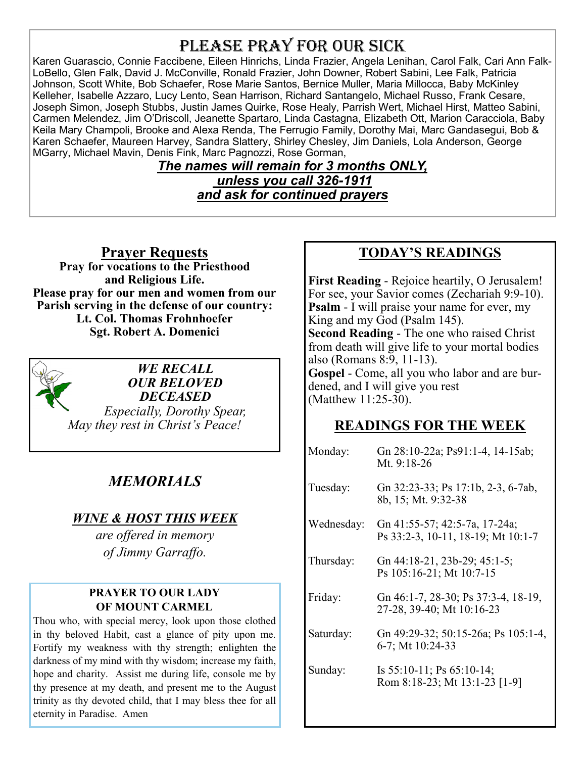## PLEASE PRAY FOR OUR SICK

Karen Guarascio, Connie Faccibene, Eileen Hinrichs, Linda Frazier, Angela Lenihan, Carol Falk, Cari Ann Falk-LoBello, Glen Falk, David J. McConville, Ronald Frazier, John Downer, Robert Sabini, Lee Falk, Patricia Johnson, Scott White, Bob Schaefer, Rose Marie Santos, Bernice Muller, Maria Millocca, Baby McKinley Kelleher, Isabelle Azzaro, Lucy Lento, Sean Harrison, Richard Santangelo, Michael Russo, Frank Cesare, Joseph Simon, Joseph Stubbs, Justin James Quirke, Rose Healy, Parrish Wert, Michael Hirst, Matteo Sabini, Carmen Melendez, Jim O'Driscoll, Jeanette Spartaro, Linda Castagna, Elizabeth Ott, Marion Caracciola, Baby Keila Mary Champoli, Brooke and Alexa Renda, The Ferrugio Family, Dorothy Mai, Marc Gandasegui, Bob & Karen Schaefer, Maureen Harvey, Sandra Slattery, Shirley Chesley, Jim Daniels, Lola Anderson, George MGarry, Michael Mavin, Denis Fink, Marc Pagnozzi, Rose Gorman,

*The names will remain for 3 months ONLY, unless you call 326-1911 and ask for continued prayers*

**Prayer Requests** 

**Pray for vocations to the Priesthood and Religious Life. Please pray for our men and women from our Parish serving in the defense of our country: Lt. Col. Thomas Frohnhoefer Sgt. Robert A. Domenici** 

*WE RECALL OUR BELOVED DECEASED Especially, Dorothy Spear, May they rest in Christ's Peace!* 

## *MEMORIALS*

#### *WINE & HOST THIS WEEK*

*are offered in memory of Jimmy Garraffo.* 

#### **PRAYER TO OUR LADY OF MOUNT CARMEL**

Thou who, with special mercy, look upon those clothed in thy beloved Habit, cast a glance of pity upon me. Fortify my weakness with thy strength; enlighten the darkness of my mind with thy wisdom; increase my faith, hope and charity. Assist me during life, console me by thy presence at my death, and present me to the August trinity as thy devoted child, that I may bless thee for all eternity in Paradise. Amen

#### **TODAY'S READINGS**

**First Reading** - Rejoice heartily, O Jerusalem! For see, your Savior comes (Zechariah 9:9-10). **Psalm** - I will praise your name for ever, my King and my God (Psalm 145). **Second Reading** - The one who raised Christ from death will give life to your mortal bodies also (Romans 8:9, 11-13). **Gospel** - Come, all you who labor and are burdened, and I will give you rest (Matthew 11:25-30).

#### **READINGS FOR THE WEEK**

| Gn 28:10-22a; Ps91:1-4, 14-15ab;<br>Mt. 9:18-26                     |
|---------------------------------------------------------------------|
| Gn 32:23-33; Ps 17:1b, 2-3, 6-7ab,<br>8b, 15; Mt. 9:32-38           |
| Gn 41:55-57; 42:5-7a, 17-24a;<br>Ps 33:2-3, 10-11, 18-19; Mt 10:1-7 |
| Gn 44:18-21, 23b-29; 45:1-5;<br>Ps 105:16-21; Mt 10:7-15            |
| Gn 46:1-7, 28-30; Ps 37:3-4, 18-19,<br>27-28, 39-40; Mt 10:16-23    |
| Gn 49:29-32; 50:15-26a; Ps 105:1-4,<br>6-7; Mt 10:24-33             |
| Is $55:10-11$ ; Ps $65:10-14$ ;<br>Rom 8:18-23; Mt 13:1-23 [1-9]    |
|                                                                     |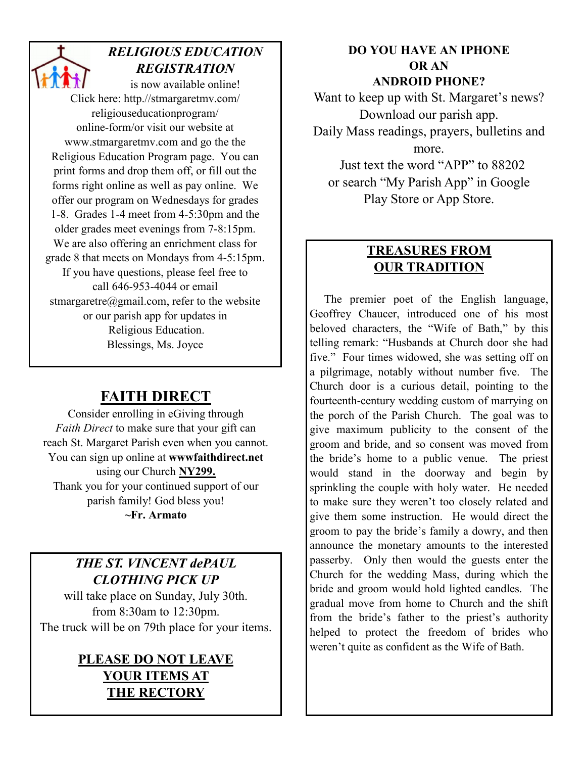### *RELIGIOUS EDUCATION REGISTRATION*

is now available online! Click here: http.//stmargaretmv.com/ religiouseducationprogram/ online-form/or visit our website at www.stmargaretmv.com and go the the Religious Education Program page. You can print forms and drop them off, or fill out the forms right online as well as pay online. We offer our program on Wednesdays for grades 1-8. Grades 1-4 meet from 4-5:30pm and the older grades meet evenings from 7-8:15pm. We are also offering an enrichment class for grade 8 that meets on Mondays from 4-5:15pm. If you have questions, please feel free to call 646-953-4044 or email stmargaretre@gmail.com, refer to the website or our parish app for updates in Religious Education. Blessings, Ms. Joyce

## **FAITH DIRECT**

Consider enrolling in eGiving through *Faith Direct* to make sure that your gift can reach St. Margaret Parish even when you cannot. You can sign up online at **wwwfaithdirect.net**  using our Church **NY299.**  Thank you for your continued support of our parish family! God bless you! **~Fr. Armato** 

### *THE ST. VINCENT dePAUL CLOTHING PICK UP*

will take place on Sunday, July 30th. from 8:30am to 12:30pm. The truck will be on 79th place for your items.

### **PLEASE DO NOT LEAVE YOUR ITEMS AT THE RECTORY**

#### **DO YOU HAVE AN IPHONE OR AN ANDROID PHONE?**

Want to keep up with St. Margaret's news? Download our parish app. Daily Mass readings, prayers, bulletins and more. Just text the word "APP" to 88202

or search "My Parish App" in Google Play Store or App Store.

#### **TREASURES FROM OUR TRADITION**

 The premier poet of the English language, Geoffrey Chaucer, introduced one of his most beloved characters, the "Wife of Bath," by this telling remark: "Husbands at Church door she had five." Four times widowed, she was setting off on a pilgrimage, notably without number five. The Church door is a curious detail, pointing to the fourteenth-century wedding custom of marrying on the porch of the Parish Church. The goal was to give maximum publicity to the consent of the groom and bride, and so consent was moved from the bride's home to a public venue. The priest would stand in the doorway and begin by sprinkling the couple with holy water. He needed to make sure they weren't too closely related and give them some instruction. He would direct the groom to pay the bride's family a dowry, and then announce the monetary amounts to the interested passerby. Only then would the guests enter the Church for the wedding Mass, during which the bride and groom would hold lighted candles. The gradual move from home to Church and the shift from the bride's father to the priest's authority helped to protect the freedom of brides who weren't quite as confident as the Wife of Bath.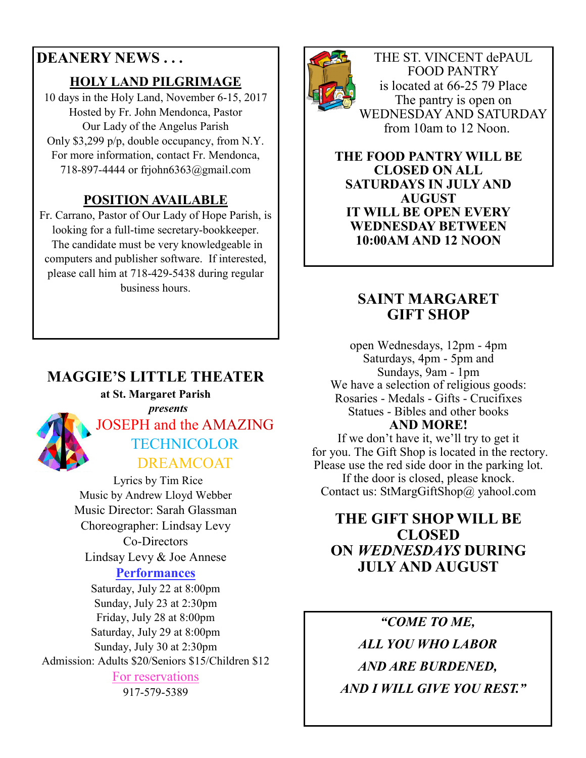## **DEANERY NEWS . . .**

#### **HOLY LAND PILGRIMAGE**

10 days in the Holy Land, November 6-15, 2017 Hosted by Fr. John Mendonca, Pastor Our Lady of the Angelus Parish Only \$3,299 p/p, double occupancy, from N.Y. For more information, contact Fr. Mendonca, 718-897-4444 or frjohn6363@gmail.com

### **POSITION AVAILABLE**

Fr. Carrano, Pastor of Our Lady of Hope Parish, is looking for a full-time secretary-bookkeeper. The candidate must be very knowledgeable in computers and publisher software. If interested, please call him at 718-429-5438 during regular business hours.

## **MAGGIE'S LITTLE THEATER**

#### **at St. Margaret Parish**



 *presents*  JOSEPH and the AMAZING **TECHNICOLOR** DREAMCOAT

 Lyrics by Tim Rice Music by Andrew Lloyd Webber Music Director: Sarah Glassman Choreographer: Lindsay Levy Co-Directors Lindsay Levy & Joe Annese **Performances** 

Saturday, July 22 at 8:00pm Sunday, July 23 at 2:30pm Friday, July 28 at 8:00pm Saturday, July 29 at 8:00pm Sunday, July 30 at 2:30pm Admission: Adults \$20/Seniors \$15/Children \$12 For reservations

917-579-5389



THE ST. VINCENT dePAUL FOOD PANTRY is located at 66-25 79 Place The pantry is open on WEDNESDAY AND SATURDAY from 10am to 12 Noon.

**THE FOOD PANTRY WILL BE CLOSED ON ALL SATURDAYS IN JULY AND AUGUST IT WILL BE OPEN EVERY WEDNESDAY BETWEEN 10:00AM AND 12 NOON** 

### **SAINT MARGARET GIFT SHOP**

open Wednesdays, 12pm - 4pm Saturdays, 4pm - 5pm and Sundays, 9am - 1pm We have a selection of religious goods: Rosaries - Medals - Gifts - Crucifixes Statues - Bibles and other books **AND MORE!** 

If we don't have it, we'll try to get it for you. The Gift Shop is located in the rectory. Please use the red side door in the parking lot. If the door is closed, please knock. Contact us: StMargGiftShop@ yahool.com

#### **THE GIFT SHOP WILL BE CLOSED ON** *WEDNESDAYS* **DURING JULY AND AUGUST**

*"COME TO ME, ALL YOU WHO LABOR AND ARE BURDENED, AND I WILL GIVE YOU REST."*